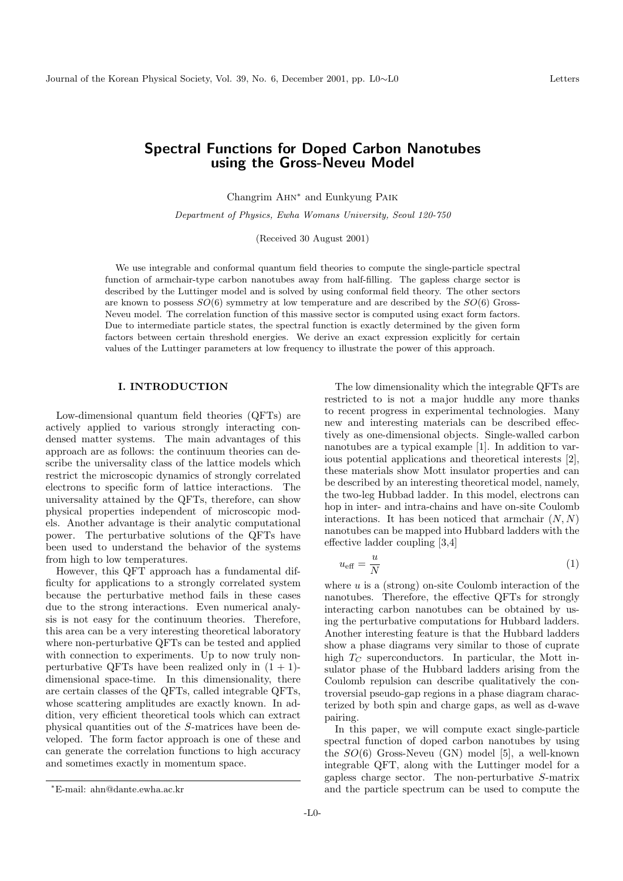# Spectral Functions for Doped Carbon Nanotubes using the Gross-Neveu Model

Changrim Ahn<sup>∗</sup> and Eunkyung Paik

Department of Physics, Ewha Womans University, Seoul 120-750

(Received 30 August 2001)

We use integrable and conformal quantum field theories to compute the single-particle spectral function of armchair-type carbon nanotubes away from half-filling. The gapless charge sector is described by the Luttinger model and is solved by using conformal field theory. The other sectors are known to possess  $SO(6)$  symmetry at low temperature and are described by the  $SO(6)$  Gross-Neveu model. The correlation function of this massive sector is computed using exact form factors. Due to intermediate particle states, the spectral function is exactly determined by the given form factors between certain threshold energies. We derive an exact expression explicitly for certain values of the Luttinger parameters at low frequency to illustrate the power of this approach.

#### I. INTRODUCTION

Low-dimensional quantum field theories (QFTs) are actively applied to various strongly interacting condensed matter systems. The main advantages of this approach are as follows: the continuum theories can describe the universality class of the lattice models which restrict the microscopic dynamics of strongly correlated electrons to specific form of lattice interactions. The universality attained by the QFTs, therefore, can show physical properties independent of microscopic models. Another advantage is their analytic computational power. The perturbative solutions of the QFTs have been used to understand the behavior of the systems from high to low temperatures.

However, this QFT approach has a fundamental difficulty for applications to a strongly correlated system because the perturbative method fails in these cases due to the strong interactions. Even numerical analysis is not easy for the continuum theories. Therefore, this area can be a very interesting theoretical laboratory where non-perturbative QFTs can be tested and applied with connection to experiments. Up to now truly nonperturbative QFTs have been realized only in  $(1 + 1)$ dimensional space-time. In this dimensionality, there are certain classes of the QFTs, called integrable QFTs, whose scattering amplitudes are exactly known. In addition, very efficient theoretical tools which can extract physical quantities out of the S-matrices have been developed. The form factor approach is one of these and can generate the correlation functions to high accuracy and sometimes exactly in momentum space.

$$
u_{\text{eff}} = \frac{u}{N} \tag{1}
$$

where  $u$  is a (strong) on-site Coulomb interaction of the nanotubes. Therefore, the effective QFTs for strongly interacting carbon nanotubes can be obtained by using the perturbative computations for Hubbard ladders. Another interesting feature is that the Hubbard ladders show a phase diagrams very similar to those of cuprate high  $T_C$  superconductors. In particular, the Mott insulator phase of the Hubbard ladders arising from the Coulomb repulsion can describe qualitatively the controversial pseudo-gap regions in a phase diagram characterized by both spin and charge gaps, as well as d-wave pairing.

In this paper, we will compute exact single-particle spectral function of doped carbon nanotubes by using the  $SO(6)$  Gross-Neveu (GN) model [5], a well-known integrable QFT, along with the Luttinger model for a gapless charge sector. The non-perturbative S-matrix and the particle spectrum can be used to compute the

The low dimensionality which the integrable QFTs are restricted to is not a major huddle any more thanks to recent progress in experimental technologies. Many new and interesting materials can be described effectively as one-dimensional objects. Single-walled carbon nanotubes are a typical example [1]. In addition to various potential applications and theoretical interests [2], these materials show Mott insulator properties and can be described by an interesting theoretical model, namely, the two-leg Hubbad ladder. In this model, electrons can hop in inter- and intra-chains and have on-site Coulomb interactions. It has been noticed that armchair  $(N, N)$ nanotubes can be mapped into Hubbard ladders with the effective ladder coupling [3,4]

<sup>∗</sup>E-mail: ahn@dante.ewha.ac.kr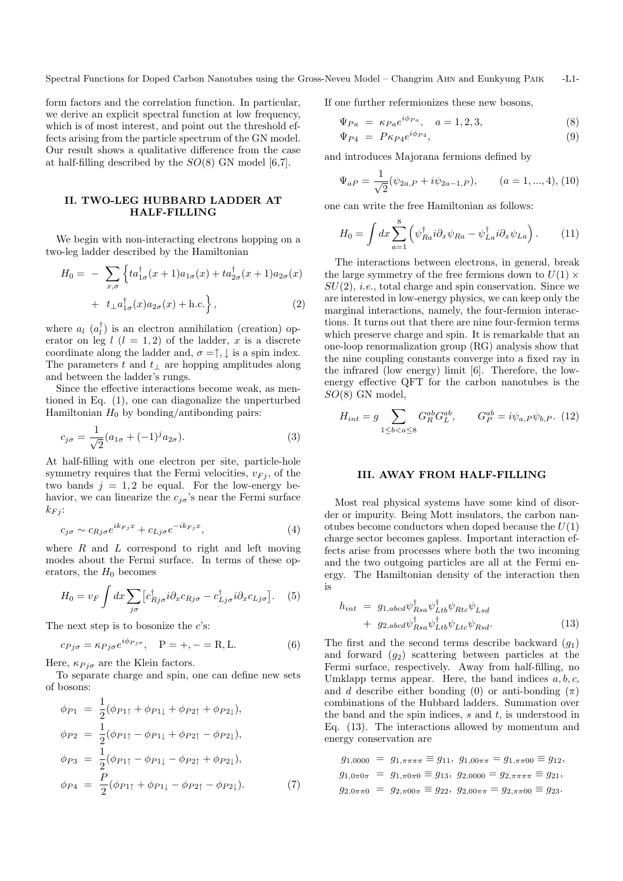Spectral Functions for Doped Carbon Nanotubes using the Gross-Neveu Model – Changrim Ahn and Eunkyung Paik -L1-

form factors and the correlation function. In particular, we derive an explicit spectral function at low frequency, which is of most interest, and point out the threshold effects arising from the particle spectrum of the GN model. Our result shows a qualitative difference from the case at half-filling described by the  $SO(8)$  GN model [6,7].

# II. TWO-LEG HUBBARD LADDER AT HALF-FILLING

We begin with non-interacting electrons hopping on a two-leg ladder described by the Hamiltonian

$$
H_0 = -\sum_{x,\sigma} \left\{ t a_{1\sigma}^\dagger(x+1) a_{1\sigma}(x) + t a_{2\sigma}^\dagger(x+1) a_{2\sigma}(x) + t_\perp a_{1\sigma}^\dagger(x) a_{2\sigma}(x) + \text{h.c.} \right\},\tag{2}
$$

where  $a_l$   $(a_l^{\dagger})$  $\binom{1}{l}$  is an electron annihilation (creation) operator on leg  $l$   $(l = 1, 2)$  of the ladder, x is a discrete coordinate along the ladder and,  $\sigma = \uparrow, \downarrow$  is a spin index. The parameters t and  $t_{\perp}$  are hopping amplitudes along and between the ladder's rungs.

Since the effective interactions become weak, as mentioned in Eq. (1), one can diagonalize the unperturbed Hamiltonian  $H_0$  by bonding/antibonding pairs:

$$
c_{j\sigma} = \frac{1}{\sqrt{2}} (a_{1\sigma} + (-1)^j a_{2\sigma}).
$$
\n(3)

At half-filling with one electron per site, particle-hole symmetry requires that the Fermi velocities,  $v_{Fi}$ , of the two bands  $j = 1, 2$  be equal. For the low-energy behavior, we can linearize the  $c_{i\sigma}$ 's near the Fermi surface  $k_{Fi}$ :

$$
c_{j\sigma} \sim c_{Rj\sigma} e^{ik_{Fj}x} + c_{Lj\sigma} e^{-ik_{Fj}x}, \tag{4}
$$

where  $R$  and  $L$  correspond to right and left moving modes about the Fermi surface. In terms of these operators, the  $H_0$  becomes

$$
H_0 = v_F \int dx \sum_{j\sigma} \left[ c_{Rj\sigma}^\dagger i \partial_x c_{Rj\sigma} - c_{Lj\sigma}^\dagger i \partial_x c_{Lj\sigma} \right]. \tag{5}
$$

The next step is to bosonize the  $c$ 's:

$$
c_{Pj\sigma} = \kappa_{Pj\sigma} e^{i\phi_{Pj\sigma}}, \quad P = +, - = R, L. \tag{6}
$$

Here,  $\kappa_{Pj\sigma}$  are the Klein factors.

To separate charge and spin, one can define new sets of bosons:

$$
\phi_{P1} = \frac{1}{2}(\phi_{P1\uparrow} + \phi_{P1\downarrow} + \phi_{P2\uparrow} + \phi_{P2\downarrow}),
$$
  
\n
$$
\phi_{P2} = \frac{1}{2}(\phi_{P1\uparrow} - \phi_{P1\downarrow} + \phi_{P2\uparrow} - \phi_{P2\downarrow}),
$$
  
\n
$$
\phi_{P3} = \frac{1}{2}(\phi_{P1\uparrow} - \phi_{P1\downarrow} - \phi_{P2\uparrow} + \phi_{P2\downarrow}),
$$
  
\n
$$
\phi_{P4} = \frac{P}{2}(\phi_{P1\uparrow} + \phi_{P1\downarrow} - \phi_{P2\uparrow} - \phi_{P2\downarrow}).
$$
\n(7)

If one further refermionizes these new bosons,

$$
\Psi_{Pa} = \kappa_{Pa} e^{i\phi_{Pa}}, \quad a = 1, 2, 3,
$$
\n
$$
(8)
$$

$$
\Psi_{P4} = P \kappa_{P4} e^{i\phi_{P4}},\tag{9}
$$

and introduces Majorana fermions defined by

$$
\Psi_{aP} = \frac{1}{\sqrt{2}} (\psi_{2a,P} + i\psi_{2a-1,P}), \qquad (a = 1,...,4), (10)
$$

one can write the free Hamiltonian as follows:

$$
H_0 = \int dx \sum_{a=1}^{8} \left( \psi_{Ra}^{\dagger} i \partial_x \psi_{Ra} - \psi_{La}^{\dagger} i \partial_x \psi_{La} \right). \tag{11}
$$

The interactions between electrons, in general, break the large symmetry of the free fermions down to  $U(1) \times$  $SU(2)$ , *i.e.*, total charge and spin conservation. Since we are interested in low-energy physics, we can keep only the marginal interactions, namely, the four-fermion interactions. It turns out that there are nine four-fermion terms which preserve charge and spin. It is remarkable that an one-loop renormalization group (RG) analysis show that the nine coupling constants converge into a fixed ray in the infrared (low energy) limit [6]. Therefore, the lowenergy effective QFT for the carbon nanotubes is the  $SO(8)$  GN model,

$$
H_{int} = g \sum_{1 \le b < a \le 8} G_R^{ab} G_L^{ab}, \qquad G_P^{ab} = i \psi_{a,P} \psi_{b,P}. \tag{12}
$$

#### III. AWAY FROM HALF-FILLING

Most real physical systems have some kind of disorder or impurity. Being Mott insulators, the carbon nanotubes become conductors when doped because the  $U(1)$ charge sector becomes gapless. Important interaction effects arise from processes where both the two incoming and the two outgoing particles are all at the Fermi energy. The Hamiltonian density of the interaction then is

$$
h_{int} = g_{1,abcd} \psi_{Rsa}^{\dagger} \psi_{Ltb}^{\dagger} \psi_{Rtc} \psi_{Lsd}
$$
  
+ 
$$
g_{2,abcd} \psi_{Rsa}^{\dagger} \psi_{Ltb}^{\dagger} \psi_{Ltc} \psi_{Rsd}.
$$
 (13)

The first and the second terms describe backward  $(g_1)$ and forward  $(g_2)$  scattering between particles at the Fermi surface, respectively. Away from half-filling, no Umklapp terms appear. Here, the band indices  $a, b, c$ , and d describe either bonding (0) or anti-bonding  $(\pi)$ combinations of the Hubbard ladders. Summation over the band and the spin indices,  $s$  and  $t$ , is understood in Eq. (13). The interactions allowed by momentum and energy conservation are

$$
g_{1,0000} = g_{1,\pi\pi\pi\pi} \equiv g_{11}, g_{1,00\pi\pi} = g_{1,\pi\pi00} \equiv g_{12},
$$
  
\n $g_{1,0\pi0\pi} = g_{1,\pi0\pi0} \equiv g_{13}, g_{2,0000} = g_{2,\pi\pi\pi\pi} \equiv g_{21},$   
\n $g_{2,0\pi\pi0} = g_{2,\pi00\pi} \equiv g_{22}, g_{2,00\pi\pi} = g_{2,\pi\pi00} \equiv g_{23}.$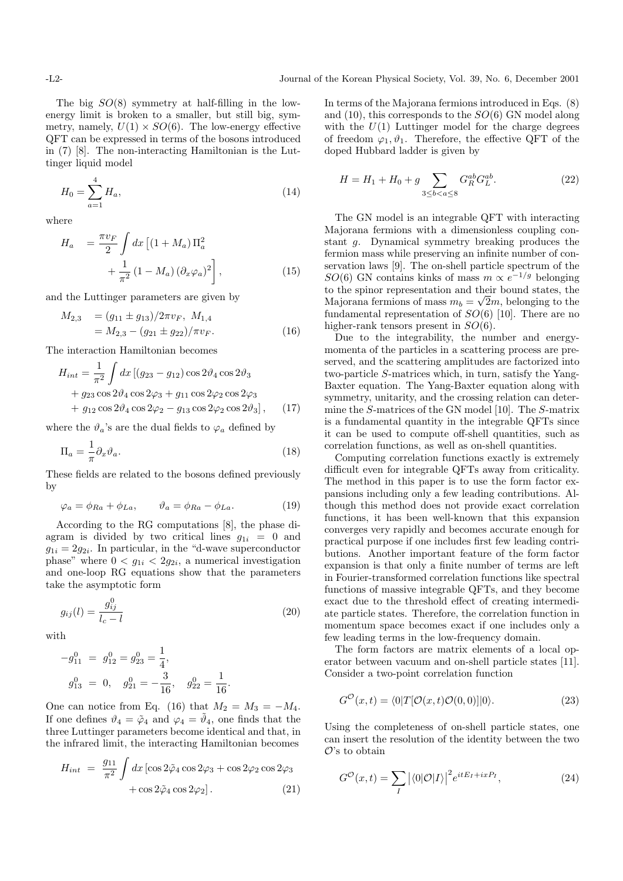The big  $SO(8)$  symmetry at half-filling in the lowenergy limit is broken to a smaller, but still big, symmetry, namely,  $U(1) \times SO(6)$ . The low-energy effective QFT can be expressed in terms of the bosons introduced in (7) [8]. The non-interacting Hamiltonian is the Luttinger liquid model

$$
H_0 = \sum_{a=1}^{4} H_a,\tag{14}
$$

where

$$
H_a = \frac{\pi v_F}{2} \int dx \left[ (1 + M_a) \Pi_a^2 + \frac{1}{\pi^2} (1 - M_a) (\partial_x \varphi_a)^2 \right],
$$
\n(15)

and the Luttinger parameters are given by

$$
M_{2,3} = (g_{11} \pm g_{13})/2\pi v_F, M_{1,4}
$$
  
=  $M_{2,3} - (g_{21} \pm g_{22})/\pi v_F.$  (16)

The interaction Hamiltonian becomes

$$
H_{int} = \frac{1}{\pi^2} \int dx \left[ (g_{23} - g_{12}) \cos 2\vartheta_4 \cos 2\vartheta_3 + g_{23} \cos 2\vartheta_4 \cos 2\varphi_3 + g_{11} \cos 2\varphi_2 \cos 2\varphi_3 + g_{12} \cos 2\vartheta_4 \cos 2\varphi_2 - g_{13} \cos 2\varphi_2 \cos 2\vartheta_3 \right], \quad (17)
$$

where the  $\vartheta_a$ 's are the dual fields to  $\varphi_a$  defined by

$$
\Pi_a = \frac{1}{\pi} \partial_x \vartheta_a.
$$
\n(18)

These fields are related to the bosons defined previously by

$$
\varphi_a = \phi_{Ra} + \phi_{La}, \qquad \vartheta_a = \phi_{Ra} - \phi_{La}.
$$
 (19)

According to the RG computations [8], the phase diagram is divided by two critical lines  $q_{1i} = 0$  and  $g_{1i} = 2g_{2i}$ . In particular, in the "d-wave superconductor phase" where  $0 < g_{1i} < 2g_{2i}$ , a numerical investigation and one-loop RG equations show that the parameters take the asymptotic form

$$
g_{ij}(l) = \frac{g_{ij}^0}{l_c - l}
$$
 (20)

with

$$
-g_{11}^{0} = g_{12}^{0} = g_{23}^{0} = \frac{1}{4},
$$
  

$$
g_{13}^{0} = 0, \quad g_{21}^{0} = -\frac{3}{16}, \quad g_{22}^{0} = \frac{1}{16}.
$$

One can notice from Eq. (16) that  $M_2 = M_3 = -M_4$ . If one defines  $\vartheta_4 = \tilde{\varphi}_4$  and  $\varphi_4 = \tilde{\vartheta}_4$ , one finds that the three Luttinger parameters become identical and that, in the infrared limit, the interacting Hamiltonian becomes

$$
H_{int} = \frac{g_{11}}{\pi^2} \int dx \left[ \cos 2\tilde{\varphi}_4 \cos 2\varphi_3 + \cos 2\varphi_2 \cos 2\varphi_3 + \cos 2\tilde{\varphi}_4 \cos 2\varphi_2 \right].
$$
 (21)

In terms of the Majorana fermions introduced in Eqs. (8) and  $(10)$ , this corresponds to the  $SO(6)$  GN model along with the  $U(1)$  Luttinger model for the charge degrees of freedom  $\varphi_1, \vartheta_1$ . Therefore, the effective QFT of the doped Hubbard ladder is given by

$$
H = H_1 + H_0 + g \sum_{3 \le b < a \le 8} G_R^{ab} G_L^{ab}.\tag{22}
$$

The GN model is an integrable QFT with interacting Majorana fermions with a dimensionless coupling constant g. Dynamical symmetry breaking produces the fermion mass while preserving an infinite number of conservation laws [9]. The on-shell particle spectrum of the SO(6) GN contains kinks of mass  $m \propto e^{-1/g}$  belonging to the spinor representation and their bound states, the Majorana fermions of mass  $m_b = \sqrt{2m}$ , belonging to the fundamental representation of  $SO(6)$  [10]. There are no higher-rank tensors present in  $SO(6)$ .

Due to the integrability, the number and energymomenta of the particles in a scattering process are preserved, and the scattering amplitudes are factorized into two-particle S-matrices which, in turn, satisfy the Yang-Baxter equation. The Yang-Baxter equation along with symmetry, unitarity, and the crossing relation can determine the S-matrices of the GN model [10]. The S-matrix is a fundamental quantity in the integrable QFTs since it can be used to compute off-shell quantities, such as correlation functions, as well as on-shell quantities.

Computing correlation functions exactly is extremely difficult even for integrable QFTs away from criticality. The method in this paper is to use the form factor expansions including only a few leading contributions. Although this method does not provide exact correlation functions, it has been well-known that this expansion converges very rapidly and becomes accurate enough for practical purpose if one includes first few leading contributions. Another important feature of the form factor expansion is that only a finite number of terms are left in Fourier-transformed correlation functions like spectral functions of massive integrable QFTs, and they become exact due to the threshold effect of creating intermediate particle states. Therefore, the correlation function in momentum space becomes exact if one includes only a few leading terms in the low-frequency domain.

The form factors are matrix elements of a local operator between vacuum and on-shell particle states [11]. Consider a two-point correlation function

$$
G^{\mathcal{O}}(x,t) = \langle 0|T[\mathcal{O}(x,t)\mathcal{O}(0,0)]|0\rangle.
$$
 (23)

Using the completeness of on-shell particle states, one can insert the resolution of the identity between the two  $\mathcal{O}'$ 's to obtain

$$
G^{\mathcal{O}}(x,t) = \sum_{I} \left| \langle 0|\mathcal{O}|I\rangle \right|^2 e^{itE_I + ixP_I},\tag{24}
$$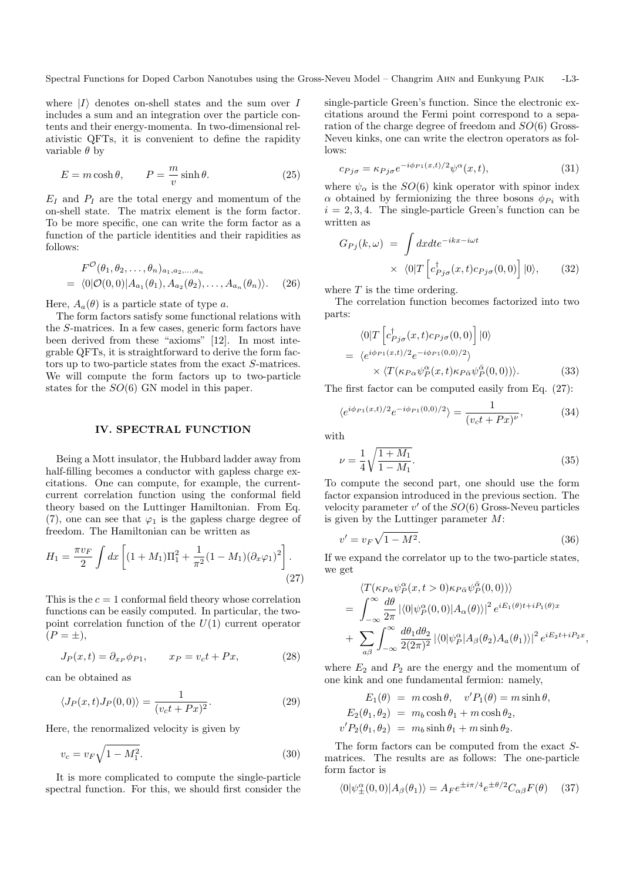where  $|I\rangle$  denotes on-shell states and the sum over I includes a sum and an integration over the particle contents and their energy-momenta. In two-dimensional relativistic QFTs, it is convenient to define the rapidity variable  $\theta$  by

$$
E = m \cosh \theta, \qquad P = \frac{m}{v} \sinh \theta.
$$
 (25)

 $E_I$  and  $P_I$  are the total energy and momentum of the on-shell state. The matrix element is the form factor. To be more specific, one can write the form factor as a function of the particle identities and their rapidities as follows:

$$
F^{\mathcal{O}}(\theta_1, \theta_2, \dots, \theta_n)_{a_1, a_2, \dots, a_n}
$$
  
=  $\langle 0|\mathcal{O}(0, 0)|A_{a_1}(\theta_1), A_{a_2}(\theta_2), \dots, A_{a_n}(\theta_n)\rangle.$  (26)

Here,  $A_a(\theta)$  is a particle state of type a.

The form factors satisfy some functional relations with the S-matrices. In a few cases, generic form factors have been derived from these "axioms" [12]. In most integrable QFTs, it is straightforward to derive the form factors up to two-particle states from the exact S-matrices. We will compute the form factors up to two-particle states for the SO(6) GN model in this paper.

## IV. SPECTRAL FUNCTION

Being a Mott insulator, the Hubbard ladder away from half-filling becomes a conductor with gapless charge excitations. One can compute, for example, the currentcurrent correlation function using the conformal field theory based on the Luttinger Hamiltonian. From Eq. (7), one can see that  $\varphi_1$  is the gapless charge degree of freedom. The Hamiltonian can be written as

$$
H_1 = \frac{\pi v_F}{2} \int dx \left[ (1 + M_1) \Pi_1^2 + \frac{1}{\pi^2} (1 - M_1) (\partial_x \varphi_1)^2 \right].
$$
\n(27)

This is the  $c = 1$  conformal field theory whose correlation functions can be easily computed. In particular, the twopoint correlation function of the  $U(1)$  current operator  $(P = \pm),$ 

$$
J_P(x,t) = \partial_{x_P} \phi_{P1}, \qquad x_P = v_c t + Px,\tag{28}
$$

can be obtained as

$$
\langle J_P(x,t)J_P(0,0)\rangle = \frac{1}{(v_c t + Px)^2}.
$$
\n(29)

Here, the renormalized velocity is given by

$$
v_c = v_F \sqrt{1 - M_1^2}.
$$
\n(30)

It is more complicated to compute the single-particle spectral function. For this, we should first consider the single-particle Green's function. Since the electronic excitations around the Fermi point correspond to a separation of the charge degree of freedom and SO(6) Gross-Neveu kinks, one can write the electron operators as follows:

$$
c_{Pj\sigma} = \kappa_{Pj\sigma} e^{-i\phi_{P1}(x,t)/2} \psi^{\alpha}(x,t), \tag{31}
$$

where  $\psi_{\alpha}$  is the  $SO(6)$  kink operator with spinor index  $\alpha$  obtained by fermionizing the three bosons  $\phi_{Pi}$  with  $i = 2, 3, 4$ . The single-particle Green's function can be written as

$$
G_{Pj}(k,\omega) = \int dx dt e^{-ikx - i\omega t}
$$
  
 
$$
\times \langle 0|T \left[ c_{Pj\sigma}^{\dagger}(x,t)c_{Pj\sigma}(0,0) \right]|0\rangle, \qquad (32)
$$

where  $T$  is the time ordering.

The correlation function becomes factorized into two parts:

$$
\langle 0|T \left[c_{Pj\sigma}^{\dagger}(x,t)c_{Pj\sigma}(0,0)\right]|0\rangle
$$
  
=  $\langle e^{i\phi_{P1}(x,t)/2}e^{-i\phi_{P1}(0,0)/2}\rangle$   
 $\times \langle T(\kappa_{P\alpha}\psi_{P}^{\alpha}(x,t)\kappa_{P\bar{\alpha}}\psi_{P}^{\bar{\alpha}}(0,0))\rangle.$  (33)

The first factor can be computed easily from Eq. (27):

$$
\langle e^{i\phi_{P1}(x,t)/2}e^{-i\phi_{P1}(0,0)/2} \rangle = \frac{1}{(v_c t + Px)^\nu},\tag{34}
$$

with

$$
\nu = \frac{1}{4} \sqrt{\frac{1 + M_1}{1 - M_1}}.\tag{35}
$$

To compute the second part, one should use the form factor expansion introduced in the previous section. The velocity parameter  $v'$  of the  $SO(6)$  Gross-Neveu particles is given by the Luttinger parameter  $M$ :

$$
v' = v_F \sqrt{1 - M^2}.\tag{36}
$$

If we expand the correlator up to the two-particle states, we get

$$
\langle T(\kappa_{P\alpha}\psi_P^{\alpha}(x,t>0)\kappa_{P\bar{\alpha}}\psi_P^{\bar{\alpha}}(0,0))\rangle
$$
  
= 
$$
\int_{-\infty}^{\infty} \frac{d\theta}{2\pi} |\langle 0|\psi_P^{\alpha}(0,0)|A_{\alpha}(\theta)\rangle|^2 e^{iE_1(\theta)t + iP_1(\theta)x}
$$
  
+ 
$$
\sum_{a\beta} \int_{-\infty}^{\infty} \frac{d\theta_1 d\theta_2}{2(2\pi)^2} |\langle 0|\psi_P^{\alpha}|A_{\beta}(\theta_2)A_{a}(\theta_1)\rangle|^2 e^{iE_2t + iP_2x},
$$

where  $E_2$  and  $P_2$  are the energy and the momentum of one kink and one fundamental fermion: namely,

$$
E_1(\theta) = m \cosh \theta, \quad v'P_1(\theta) = m \sinh \theta,
$$
  
\n
$$
E_2(\theta_1, \theta_2) = m_b \cosh \theta_1 + m \cosh \theta_2,
$$
  
\n
$$
v'P_2(\theta_1, \theta_2) = m_b \sinh \theta_1 + m \sinh \theta_2.
$$

The form factors can be computed from the exact Smatrices. The results are as follows: The one-particle form factor is

$$
\langle 0|\psi_{\pm}^{\alpha}(0,0)|A_{\beta}(\theta_{1})\rangle = A_{F}e^{\pm i\pi/4}e^{\pm \theta/2}C_{\alpha\beta}F(\theta)
$$
 (37)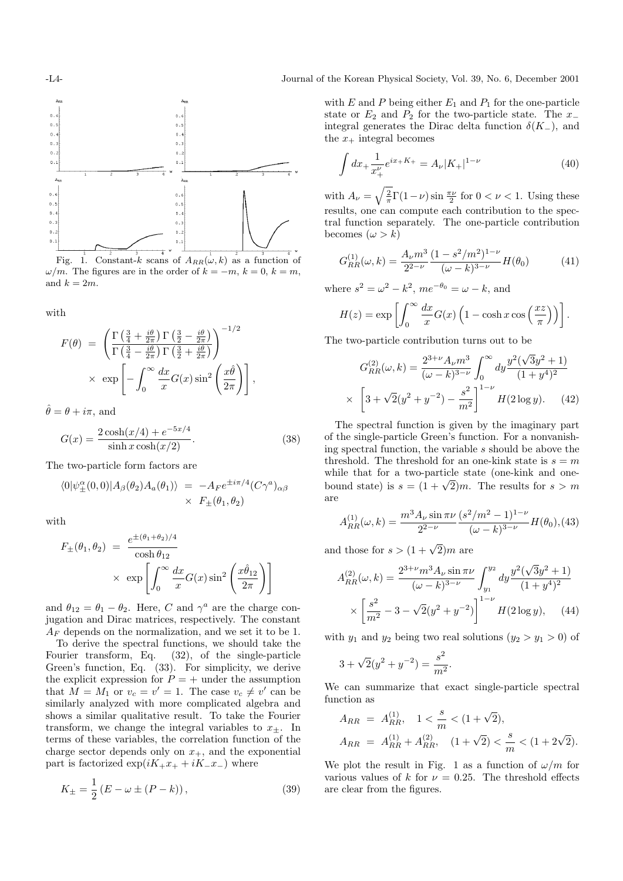

Fig. 1. Constant-k scans of  $A_{RR}(\omega, k)$  as a function of  $\omega/m$ . The figures are in the order of  $k = -m$ ,  $k = 0$ ,  $k = m$ , and  $k = 2m$ .

with

$$
F(\theta) = \left( \frac{\Gamma\left(\frac{3}{4} + \frac{i\theta}{2\pi}\right) \Gamma\left(\frac{3}{2} - \frac{i\theta}{2\pi}\right)}{\Gamma\left(\frac{3}{4} - \frac{i\theta}{2\pi}\right) \Gamma\left(\frac{3}{2} + \frac{i\theta}{2\pi}\right)} \right)^{-1/2}
$$
  
 
$$
\times \exp\left[ -\int_0^\infty \frac{dx}{x} G(x) \sin^2\left(\frac{x\hat{\theta}}{2\pi}\right) \right],
$$

 $\hat{\theta} = \theta + i\pi$ , and

$$
G(x) = \frac{2\cosh(x/4) + e^{-5x/4}}{\sinh x \cosh(x/2)}.
$$
 (38)

The two-particle form factors are

$$
\langle 0 | \psi_{\pm}^{\alpha}(0,0) | A_{\beta}(\theta_2) A_{a}(\theta_1) \rangle = -A_{F} e^{\pm i\pi/4} (C\gamma^a)_{\alpha\beta} \times F_{\pm}(\theta_1, \theta_2)
$$

with

$$
F_{\pm}(\theta_1, \theta_2) = \frac{e^{\pm(\theta_1 + \theta_2)/4}}{\cosh \theta_{12}} \times \exp\left[\int_0^\infty \frac{dx}{x} G(x) \sin^2\left(\frac{x\hat{\theta}_{12}}{2\pi}\right)\right]
$$

and  $\theta_{12} = \theta_1 - \theta_2$ . Here, C and  $\gamma^a$  are the charge conjugation and Dirac matrices, respectively. The constant  $A_F$  depends on the normalization, and we set it to be 1.

To derive the spectral functions, we should take the Fourier transform, Eq. (32), of the single-particle Green's function, Eq. (33). For simplicity, we derive the explicit expression for  $P = +$  under the assumption that  $\overline{M} = M_1$  or  $v_c = v' = 1$ . The case  $v_c \neq v'$  can be similarly analyzed with more complicated algebra and shows a similar qualitative result. To take the Fourier transform, we change the integral variables to  $x_{+}$ . In terms of these variables, the correlation function of the charge sector depends only on  $x_{+}$ , and the exponential part is factorized  $\exp(iK_+x_+ + iK_-x_-)$  where

$$
K_{\pm} = \frac{1}{2} (E - \omega \pm (P - k)), \qquad (39)
$$

with E and P being either  $E_1$  and  $P_1$  for the one-particle state or  $E_2$  and  $P_2$  for the two-particle state. The  $x_-\$ integral generates the Dirac delta function  $\delta(K_{-})$ , and the  $x_+$  integral becomes

$$
\int dx_{+} \frac{1}{x_{+}^{\nu}} e^{ix_{+}K_{+}} = A_{\nu} |K_{+}|^{1-\nu}
$$
\n(40)

with  $A_{\nu} = \sqrt{\frac{2}{\pi}} \Gamma(1-\nu) \sin \frac{\pi \nu}{2}$  for  $0 < \nu < 1$ . Using these results, one can compute each contribution to the spectral function separately. The one-particle contribution becomes  $(\omega > k)$ 

$$
G_{RR}^{(1)}(\omega,k) = \frac{A_{\nu}m^3}{2^{2-\nu}} \frac{(1-s^2/m^2)^{1-\nu}}{(\omega-k)^{3-\nu}} H(\theta_0)
$$
(41)

where  $s^2 = \omega^2 - k^2$ ,  $me^{-\theta_0} = \omega - k$ , and

$$
H(z) = \exp\left[\int_0^\infty \frac{dx}{x} G(x) \left(1 - \cosh x \cos\left(\frac{xz}{\pi}\right)\right)\right].
$$

The two-particle contribution turns out to be

$$
G_{RR}^{(2)}(\omega,k) = \frac{2^{3+\nu} A_{\nu} m^3}{(\omega-k)^{3-\nu}} \int_0^{\infty} dy \frac{y^2(\sqrt{3}y^2+1)}{(1+y^4)^2}
$$

$$
\times \left[3 + \sqrt{2}(y^2+y^{-2}) - \frac{s^2}{m^2}\right]^{1-\nu} H(2 \log y). \quad (42)
$$

The spectral function is given by the imaginary part of the single-particle Green's function. For a nonvanishing spectral function, the variable s should be above the threshold. The threshold for an one-kink state is  $s = m$ while that for a two-particle state (one-kink and onewhile that for a two-particle state (one-kink and one-<br>bound state) is  $s = (1 + \sqrt{2})m$ . The results for  $s > m$ are

$$
A_{RR}^{(1)}(\omega,k) = \frac{m^3 A_\nu \sin \pi \nu}{2^{2-\nu}} \frac{(s^2/m^2 - 1)^{1-\nu}}{(\omega - k)^{3-\nu}} H(\theta_0),
$$
(43)

and those for  $s > (1 + \sqrt{2})m$  are

$$
A_{RR}^{(2)}(\omega,k) = \frac{2^{3+\nu}m^3 A_{\nu} \sin \pi \nu}{(\omega - k)^{3-\nu}} \int_{y_1}^{y_2} dy \frac{y^2(\sqrt{3}y^2 + 1)}{(1 + y^4)^2}
$$

$$
\times \left[ \frac{s^2}{m^2} - 3 - \sqrt{2}(y^2 + y^{-2}) \right]^{1-\nu} H(2 \log y), \quad (44)
$$

with  $y_1$  and  $y_2$  being two real solutions  $(y_2 > y_1 > 0)$  of

$$
3 + \sqrt{2}(y^2 + y^{-2}) = \frac{s^2}{m^2}.
$$

We can summarize that exact single-particle spectral function as

$$
A_{RR} = A_{RR}^{(1)}, \quad 1 < \frac{s}{m} < (1 + \sqrt{2}),
$$
\n
$$
A_{RR} = A_{RR}^{(1)} + A_{RR}^{(2)}, \quad (1 + \sqrt{2}) < \frac{s}{m} < (1 + 2\sqrt{2}).
$$

We plot the result in Fig. 1 as a function of  $\omega/m$  for various values of k for  $\nu = 0.25$ . The threshold effects are clear from the figures.